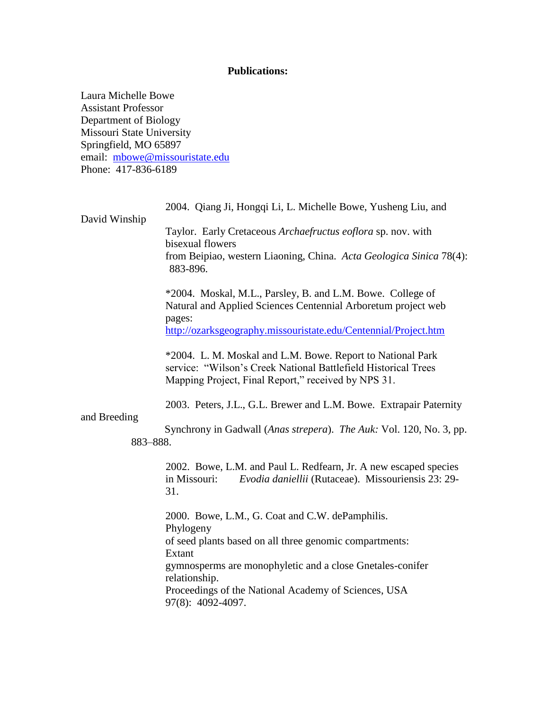## **Publications:**

Laura Michelle Bowe Assistant Professor Department of Biology Missouri State University Springfield, MO 65897 email: [mbowe@missouristate.edu](mailto:mbowe@missouristate.edu) Phone: 417-836-6189

2004. Qiang Ji, Hongqi Li, L. Michelle Bowe, Yusheng Liu, and

David Winship

Taylor. Early Cretaceous *Archaefructus eoflora* sp. nov. with bisexual flowers from Beipiao, western Liaoning, China. *Acta Geologica Sinica* 78(4): 883-896.

\*2004. Moskal, M.L., Parsley, B. and L.M. Bowe. College of Natural and Applied Sciences Centennial Arboretum project web pages:

<http://ozarksgeography.missouristate.edu/Centennial/Project.htm>

\*2004. L. M. Moskal and L.M. Bowe. Report to National Park service: "Wilson's Creek National Battlefield Historical Trees Mapping Project, Final Report," received by NPS 31.

2003. Peters, J.L., G.L. Brewer and L.M. Bowe. Extrapair Paternity

## and Breeding

 Synchrony in Gadwall (*Anas strepera*). *The Auk:* Vol. 120, No. 3, pp. 883–888.

2002.Bowe, L.M. and Paul L. Redfearn, Jr. A new escaped species in Missouri: *Evodia daniellii* (Rutaceae). Missouriensis 23: 29- 31.

2000.Bowe, L.M., G. Coat and C.W. dePamphilis. Phylogeny of seed plants based on all three genomic compartments: Extant gymnosperms are monophyletic and a close Gnetales-conifer relationship. Proceedings of the National Academy of Sciences, USA 97(8): 4092-4097.